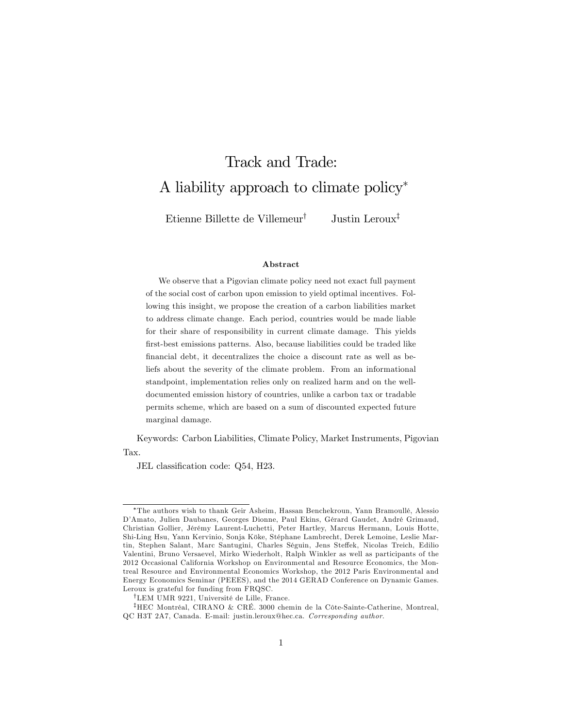# Track and Trade: A liability approach to climate policy

Etienne Billette de Villemeur<sup>†</sup> Justin Leroux<sup>‡</sup>

#### Abstract

We observe that a Pigovian climate policy need not exact full payment of the social cost of carbon upon emission to yield optimal incentives. Following this insight, we propose the creation of a carbon liabilities market to address climate change. Each period, countries would be made liable for their share of responsibility in current climate damage. This yields first-best emissions patterns. Also, because liabilities could be traded like financial debt, it decentralizes the choice a discount rate as well as beliefs about the severity of the climate problem. From an informational standpoint, implementation relies only on realized harm and on the welldocumented emission history of countries, unlike a carbon tax or tradable permits scheme, which are based on a sum of discounted expected future marginal damage.

Keywords: Carbon Liabilities, Climate Policy, Market Instruments, Pigovian Tax.

JEL classification code: Q54, H23.

The authors wish to thank Geir Asheim, Hassan Benchekroun, Yann BramoullÈ, Alessio D'Amato, Julien Daubanes, Georges Dionne, Paul Ekins, Gérard Gaudet, André Grimaud, Christian Gollier, JÈrÈmy Laurent-Luchetti, Peter Hartley, Marcus Hermann, Louis Hotte, Shi-Ling Hsu, Yann Kervinio, Sonja Kˆke, StÈphane Lambrecht, Derek Lemoine, Leslie Martin, Stephen Salant, Marc Santugini, Charles Séguin, Jens Steffek, Nicolas Treich, Edilio Valentini, Bruno Versaevel, Mirko Wiederholt, Ralph Winkler as well as participants of the 2012 Occasional California Workshop on Environmental and Resource Economics, the Montreal Resource and Environmental Economics Workshop, the 2012 Paris Environmental and Energy Economics Seminar (PEEES), and the 2014 GERAD Conference on Dynamic Games. Leroux is grateful for funding from FRQSC.

<sup>&</sup>lt;sup>†</sup>LEM UMR 9221, Université de Lille, France.

<sup>&</sup>lt;sup>‡</sup>HEC Montréal, CIRANO & CRÉ. 3000 chemin de la Côte-Sainte-Catherine, Montreal, QC H3T 2A7, Canada. E-mail: justin.leroux@hec.ca. Corresponding author.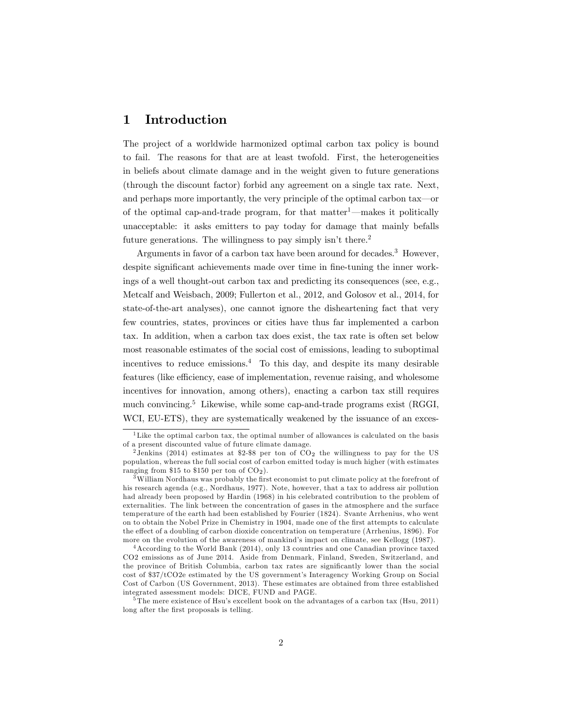## 1 Introduction

The project of a worldwide harmonized optimal carbon tax policy is bound to fail. The reasons for that are at least twofold. First, the heterogeneities in beliefs about climate damage and in the weight given to future generations (through the discount factor) forbid any agreement on a single tax rate. Next, and perhaps more importantly, the very principle of the optimal carbon  $\text{tax}\text{---}\text{or}$ of the optimal cap-and-trade program, for that  $\text{matter}^1$ —makes it politically unacceptable: it asks emitters to pay today for damage that mainly befalls future generations. The willingness to pay simply isn't there.<sup>2</sup>

Arguments in favor of a carbon tax have been around for decades.<sup>3</sup> However, despite significant achievements made over time in fine-tuning the inner workings of a well thought-out carbon tax and predicting its consequences (see, e.g., Metcalf and Weisbach, 2009; Fullerton et al., 2012, and Golosov et al., 2014, for state-of-the-art analyses), one cannot ignore the disheartening fact that very few countries, states, provinces or cities have thus far implemented a carbon tax. In addition, when a carbon tax does exist, the tax rate is often set below most reasonable estimates of the social cost of emissions, leading to suboptimal incentives to reduce emissions.<sup>4</sup> To this day, and despite its many desirable features (like efficiency, ease of implementation, revenue raising, and wholesome incentives for innovation, among others), enacting a carbon tax still requires much convincing.<sup>5</sup> Likewise, while some cap-and-trade programs exist (RGGI, WCI, EU-ETS), they are systematically weakened by the issuance of an exces-

<sup>&</sup>lt;sup>1</sup>Like the optimal carbon tax, the optimal number of allowances is calculated on the basis of a present discounted value of future climate damage.

<sup>&</sup>lt;sup>2</sup> Jenkins (2014) estimates at \$2-\$8 per ton of  $CO<sub>2</sub>$  the willingness to pay for the US population, whereas the full social cost of carbon emitted today is much higher (with estimates ranging from \$15 to \$150 per ton of  $CO<sub>2</sub>$ .

 $3$ William Nordhaus was probably the first economist to put climate policy at the forefront of his research agenda (e.g., Nordhaus, 1977). Note, however, that a tax to address air pollution had already been proposed by Hardin (1968) in his celebrated contribution to the problem of externalities. The link between the concentration of gases in the atmosphere and the surface temperature of the earth had been established by Fourier (1824). Svante Arrhenius, who went on to obtain the Nobel Prize in Chemistry in 1904, made one of the Örst attempts to calculate the effect of a doubling of carbon dioxide concentration on temperature (Arrhenius, 1896). For more on the evolution of the awareness of mankind's impact on climate, see Kellogg (1987).

<sup>&</sup>lt;sup>4</sup> According to the World Bank (2014), only 13 countries and one Canadian province taxed CO2 emissions as of June 2014. Aside from Denmark, Finland, Sweden, Switzerland, and the province of British Columbia, carbon tax rates are significantly lower than the social cost of \$37/tCO2e estimated by the US government's Interagency Working Group on Social Cost of Carbon (US Government, 2013). These estimates are obtained from three established integrated assessment models: DICE, FUND and PAGE.

<sup>&</sup>lt;sup>5</sup> The mere existence of Hsu's excellent book on the advantages of a carbon tax (Hsu, 2011) long after the first proposals is telling.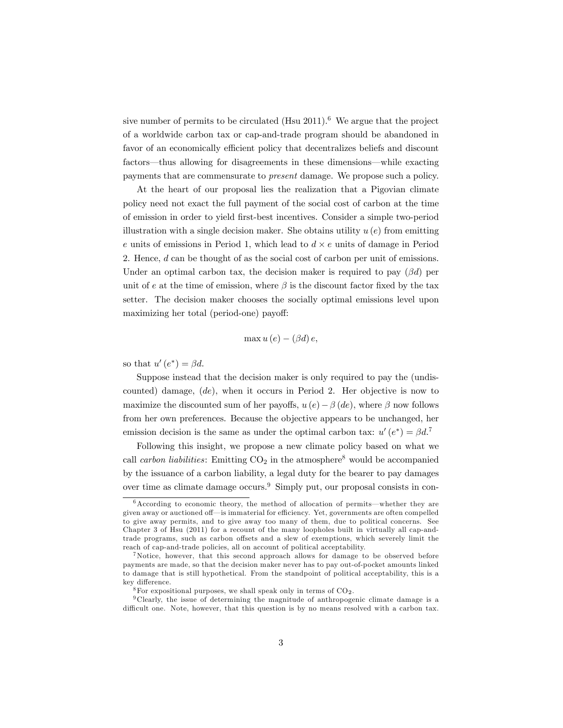sive number of permits to be circulated  $(Hsu 2011)$ .<sup>6</sup> We argue that the project of a worldwide carbon tax or cap-and-trade program should be abandoned in favor of an economically efficient policy that decentralizes beliefs and discount factors—thus allowing for disagreements in these dimensions—while exacting payments that are commensurate to present damage. We propose such a policy.

At the heart of our proposal lies the realization that a Pigovian climate policy need not exact the full payment of the social cost of carbon at the time of emission in order to yield Örst-best incentives. Consider a simple two-period illustration with a single decision maker. She obtains utility  $u(e)$  from emitting e units of emissions in Period 1, which lead to  $d \times e$  units of damage in Period 2. Hence, d can be thought of as the social cost of carbon per unit of emissions. Under an optimal carbon tax, the decision maker is required to pay  $(\beta d)$  per unit of e at the time of emission, where  $\beta$  is the discount factor fixed by the tax setter. The decision maker chooses the socially optimal emissions level upon maximizing her total (period-one) payoff:

$$
\max u(e) - (\beta d) e,
$$

so that  $u'(e^*) = \beta d$ .

Suppose instead that the decision maker is only required to pay the (undiscounted) damage,  $(de)$ , when it occurs in Period 2. Her objective is now to maximize the discounted sum of her payoffs,  $u(e) - \beta(de)$ , where  $\beta$  now follows from her own preferences. Because the objective appears to be unchanged, her emission decision is the same as under the optimal carbon tax:  $u'(e^*) = \beta d^T$ 

Following this insight, we propose a new climate policy based on what we call *carbon liabilities*: Emitting  $CO<sub>2</sub>$  in the atmosphere<sup>8</sup> would be accompanied by the issuance of a carbon liability, a legal duty for the bearer to pay damages over time as climate damage occurs.<sup>9</sup> Simply put, our proposal consists in con-

 $6$ According to economic theory, the method of allocation of permits—whether they are given away or auctioned off—is immaterial for efficiency. Yet, governments are often compelled to give away permits, and to give away too many of them, due to political concerns. See Chapter 3 of Hsu (2011) for a recount of the many loopholes built in virtually all cap-andtrade programs, such as carbon offsets and a slew of exemptions, which severely limit the reach of cap-and-trade policies, all on account of political acceptability.

<sup>&</sup>lt;sup>7</sup>Notice, however, that this second approach allows for damage to be observed before payments are made, so that the decision maker never has to pay out-of-pocket amounts linked to damage that is still hypothetical. From the standpoint of political acceptability, this is a key difference.

 $^8\rm{For}$  expositional purposes, we shall speak only in terms of CO<sub>2</sub>.

<sup>9</sup> Clearly, the issue of determining the magnitude of anthropogenic climate damage is a difficult one. Note, however, that this question is by no means resolved with a carbon tax.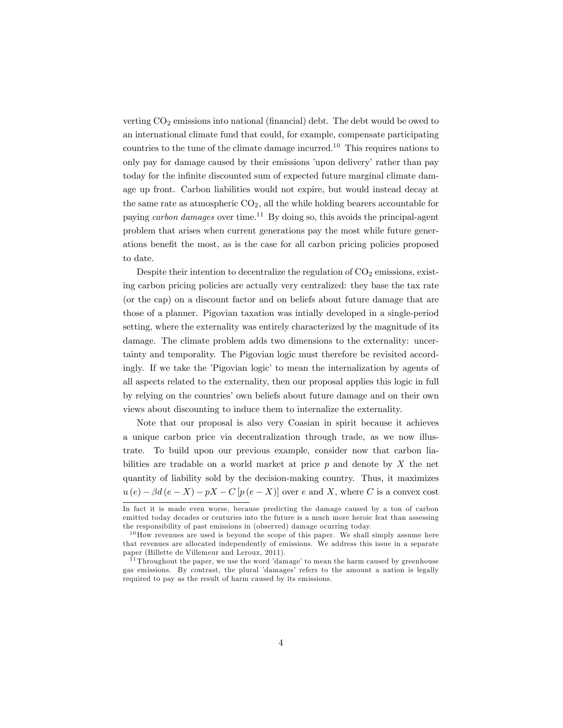verting  $CO<sub>2</sub>$  emissions into national (financial) debt. The debt would be owed to an international climate fund that could, for example, compensate participating countries to the tune of the climate damage incurred.<sup>10</sup> This requires nations to only pay for damage caused by their emissions 'upon delivery' rather than pay today for the infinite discounted sum of expected future marginal climate damage up front. Carbon liabilities would not expire, but would instead decay at the same rate as atmospheric  $CO<sub>2</sub>$ , all the while holding bearers accountable for paying carbon damages over time.<sup>11</sup> By doing so, this avoids the principal-agent problem that arises when current generations pay the most while future generations benefit the most, as is the case for all carbon pricing policies proposed to date.

Despite their intention to decentralize the regulation of  $CO<sub>2</sub>$  emissions, existing carbon pricing policies are actually very centralized: they base the tax rate (or the cap) on a discount factor and on beliefs about future damage that are those of a planner. Pigovian taxation was intially developed in a single-period setting, where the externality was entirely characterized by the magnitude of its damage. The climate problem adds two dimensions to the externality: uncertainty and temporality. The Pigovian logic must therefore be revisited accordingly. If we take the 'Pigovian logic' to mean the internalization by agents of all aspects related to the externality, then our proposal applies this logic in full by relying on the countries' own beliefs about future damage and on their own views about discounting to induce them to internalize the externality.

Note that our proposal is also very Coasian in spirit because it achieves a unique carbon price via decentralization through trade, as we now illustrate. To build upon our previous example, consider now that carbon liabilities are tradable on a world market at price  $p$  and denote by  $X$  the net quantity of liability sold by the decision-making country. Thus, it maximizes  $u(e) - \beta d(e - X) - pX - C[p(e - X)]$  over e and X, where C is a convex cost

In fact it is made even worse, because predicting the damage caused by a ton of carbon emitted today decades or centuries into the future is a much more heroic feat than assessing the responsibility of past emissions in (observed) damage ocurring today.

 $10$  How revenues are used is beyond the scope of this paper. We shall simply assume here that revenues are allocated independently of emissions. We address this issue in a separate paper (Billette de Villemeur and Leroux, 2011).

 $11$  Throughout the paper, we use the word 'damage' to mean the harm caused by greenhouse gas emissions. By contrast, the plural ídamagesí refers to the amount a nation is legally required to pay as the result of harm caused by its emissions.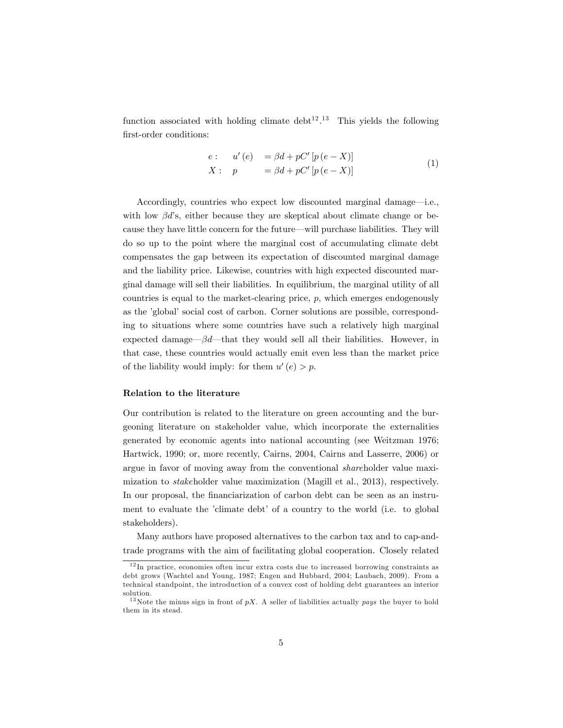function associated with holding climate  $\text{debt}^{12}$ .<sup>13</sup> This yields the following first-order conditions:

$$
e: u'(e) = \beta d + pC'[p(e - X)]
$$
  

$$
X: p = \beta d + pC'[p(e - X)]
$$
 (1)

Accordingly, countries who expect low discounted marginal damage-i.e., with low  $\beta d$ 's, either because they are skeptical about climate change or because they have little concern for the future—will purchase liabilities. They will do so up to the point where the marginal cost of accumulating climate debt compensates the gap between its expectation of discounted marginal damage and the liability price. Likewise, countries with high expected discounted marginal damage will sell their liabilities. In equilibrium, the marginal utility of all countries is equal to the market-clearing price,  $p$ , which emerges endogenously as the 'global' social cost of carbon. Corner solutions are possible, corresponding to situations where some countries have such a relatively high marginal expected damage— $\beta d$ —that they would sell all their liabilities. However, in that case, these countries would actually emit even less than the market price of the liability would imply: for them  $u'(e) > p$ .

#### Relation to the literature

Our contribution is related to the literature on green accounting and the burgeoning literature on stakeholder value, which incorporate the externalities generated by economic agents into national accounting (see Weitzman 1976; Hartwick, 1990; or, more recently, Cairns, 2004, Cairns and Lasserre, 2006) or argue in favor of moving away from the conventional shareholder value maximization to stakeholder value maximization (Magill et al., 2013), respectively. In our proposal, the financiarization of carbon debt can be seen as an instrument to evaluate the 'climate debt' of a country to the world (i.e. to global stakeholders).

Many authors have proposed alternatives to the carbon tax and to cap-andtrade programs with the aim of facilitating global cooperation. Closely related

<sup>12</sup> In practice, economies often incur extra costs due to increased borrowing constraints as debt grows (Wachtel and Young, 1987; Engen and Hubbard, 2004; Laubach, 2009). From a technical standpoint, the introduction of a convex cost of holding debt guarantees an interior solution.

<sup>&</sup>lt;sup>13</sup>Note the minus sign in front of  $pX$ . A seller of liabilities actually  $pays$  the buyer to hold them in its stead.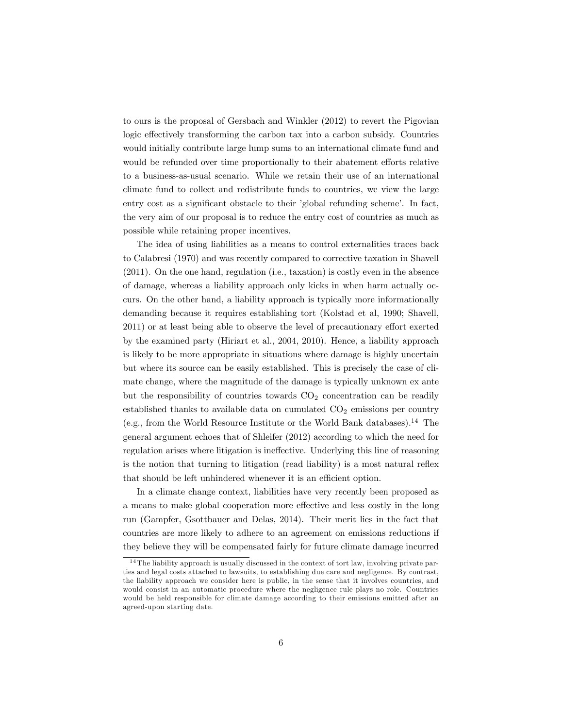to ours is the proposal of Gersbach and Winkler (2012) to revert the Pigovian logic effectively transforming the carbon tax into a carbon subsidy. Countries would initially contribute large lump sums to an international climate fund and would be refunded over time proportionally to their abatement efforts relative to a business-as-usual scenario. While we retain their use of an international climate fund to collect and redistribute funds to countries, we view the large entry cost as a significant obstacle to their 'global refunding scheme'. In fact, the very aim of our proposal is to reduce the entry cost of countries as much as possible while retaining proper incentives.

The idea of using liabilities as a means to control externalities traces back to Calabresi (1970) and was recently compared to corrective taxation in Shavell (2011). On the one hand, regulation (i.e., taxation) is costly even in the absence of damage, whereas a liability approach only kicks in when harm actually occurs. On the other hand, a liability approach is typically more informationally demanding because it requires establishing tort (Kolstad et al, 1990; Shavell, 2011) or at least being able to observe the level of precautionary effort exerted by the examined party (Hiriart et al., 2004, 2010). Hence, a liability approach is likely to be more appropriate in situations where damage is highly uncertain but where its source can be easily established. This is precisely the case of climate change, where the magnitude of the damage is typically unknown ex ante but the responsibility of countries towards  $CO<sub>2</sub>$  concentration can be readily established thanks to available data on cumulated  $CO<sub>2</sub>$  emissions per country (e.g., from the World Resource Institute or the World Bank databases).<sup>14</sup> The general argument echoes that of Shleifer (2012) according to which the need for regulation arises where litigation is ineffective. Underlying this line of reasoning is the notion that turning to litigation (read liability) is a most natural reflex that should be left unhindered whenever it is an efficient option.

In a climate change context, liabilities have very recently been proposed as a means to make global cooperation more effective and less costly in the long run (Gampfer, Gsottbauer and Delas, 2014). Their merit lies in the fact that countries are more likely to adhere to an agreement on emissions reductions if they believe they will be compensated fairly for future climate damage incurred

<sup>&</sup>lt;sup>14</sup> The liability approach is usually discussed in the context of tort law, involving private parties and legal costs attached to lawsuits, to establishing due care and negligence. By contrast, the liability approach we consider here is public, in the sense that it involves countries, and would consist in an automatic procedure where the negligence rule plays no role. Countries would be held responsible for climate damage according to their emissions emitted after an agreed-upon starting date.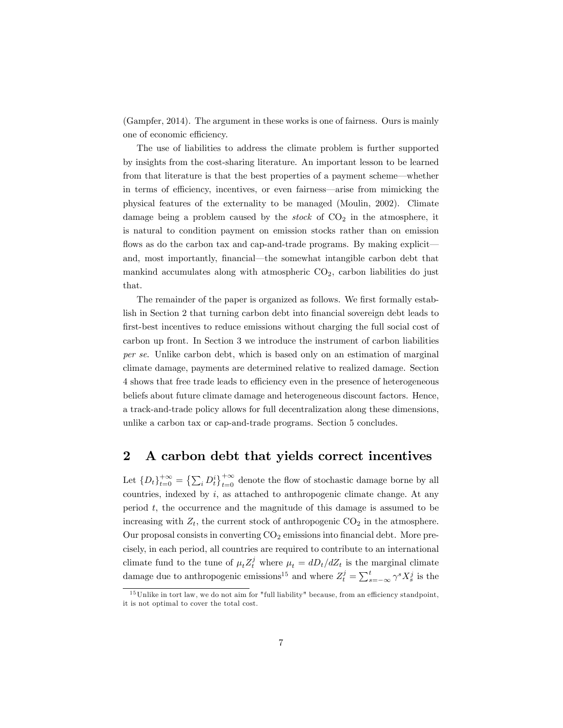(Gampfer, 2014). The argument in these works is one of fairness. Ours is mainly one of economic efficiency.

The use of liabilities to address the climate problem is further supported by insights from the cost-sharing literature. An important lesson to be learned from that literature is that the best properties of a payment scheme—whether in terms of efficiency, incentives, or even fairness—arise from mimicking the physical features of the externality to be managed (Moulin, 2002). Climate damage being a problem caused by the *stock* of  $CO<sub>2</sub>$  in the atmosphere, it is natural to condition payment on emission stocks rather than on emission flows as do the carbon tax and cap-and-trade programs. By making explicit and, most importantly, financial—the somewhat intangible carbon debt that mankind accumulates along with atmospheric  $CO<sub>2</sub>$ , carbon liabilities do just that.

The remainder of the paper is organized as follows. We first formally establish in Section 2 that turning carbon debt into financial sovereign debt leads to first-best incentives to reduce emissions without charging the full social cost of carbon up front. In Section 3 we introduce the instrument of carbon liabilities per se. Unlike carbon debt, which is based only on an estimation of marginal climate damage, payments are determined relative to realized damage. Section 4 shows that free trade leads to efficiency even in the presence of heterogeneous beliefs about future climate damage and heterogeneous discount factors. Hence, a track-and-trade policy allows for full decentralization along these dimensions, unlike a carbon tax or cap-and-trade programs. Section 5 concludes.

#### 2 A carbon debt that yields correct incentives

Let  $\{D_t\}_{t=0}^{+\infty} = \left\{\sum_i D_t^i\right\}_{t=0}^{+\infty}$  denote the flow of stochastic damage borne by all countries, indexed by  $i$ , as attached to anthropogenic climate change. At any period t, the occurrence and the magnitude of this damage is assumed to be increasing with  $Z_t$ , the current stock of anthropogenic  $CO_2$  in the atmosphere. Our proposal consists in converting  $CO<sub>2</sub>$  emissions into financial debt. More precisely, in each period, all countries are required to contribute to an international climate fund to the tune of  $\mu_t Z_t^j$  where  $\mu_t = dD_t/dZ_t$  is the marginal climate damage due to anthropogenic emissions<sup>15</sup> and where  $Z_t^j = \sum_{s=-\infty}^{t} \gamma^s X_s^j$  is the

 $15$ Unlike in tort law, we do not aim for "full liability" because, from an efficiency standpoint, it is not optimal to cover the total cost.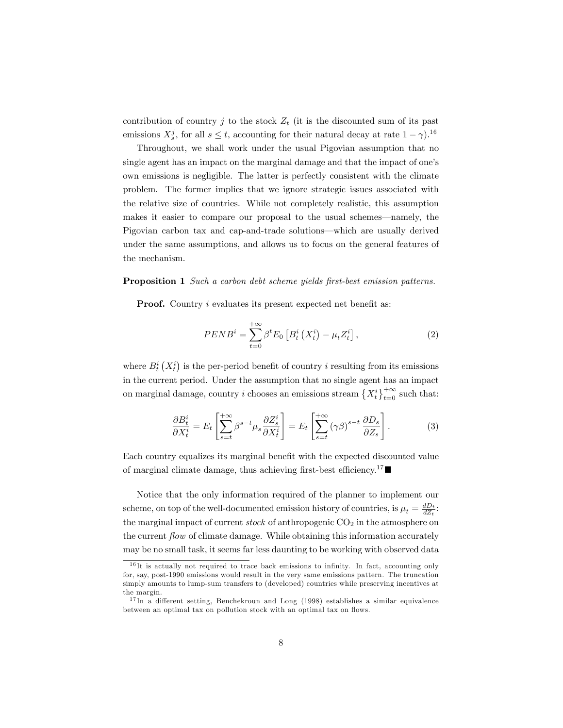contribution of country  $j$  to the stock  $Z_t$  (it is the discounted sum of its past emissions  $X_s^j$ , for all  $s \le t$ , accounting for their natural decay at rate  $1 - \gamma$ .<sup>16</sup>

Throughout, we shall work under the usual Pigovian assumption that no single agent has an impact on the marginal damage and that the impact of one's own emissions is negligible. The latter is perfectly consistent with the climate problem. The former implies that we ignore strategic issues associated with the relative size of countries. While not completely realistic, this assumption makes it easier to compare our proposal to the usual schemes—namely, the Pigovian carbon tax and cap-and-trade solutions—which are usually derived under the same assumptions, and allows us to focus on the general features of the mechanism.

#### **Proposition 1** Such a carbon debt scheme yields first-best emission patterns.

**Proof.** Country  $i$  evaluates its present expected net benefit as:

$$
PENB^{i} = \sum_{t=0}^{+\infty} \beta^{t} E_{0} \left[ B_{t}^{i} \left( X_{t}^{i} \right) - \mu_{t} Z_{t}^{i} \right], \tag{2}
$$

where  $B_t^i(X_t^i)$  is the per-period benefit of country i resulting from its emissions in the current period. Under the assumption that no single agent has an impact on marginal damage, country *i* chooses an emissions stream  $\{X_t^i\}_{t=0}^{+\infty}$  such that:

$$
\frac{\partial B_t^i}{\partial X_t^i} = E_t \left[ \sum_{s=t}^{+\infty} \beta^{s-t} \mu_s \frac{\partial Z_s^i}{\partial X_t^i} \right] = E_t \left[ \sum_{s=t}^{+\infty} (\gamma \beta)^{s-t} \frac{\partial D_s}{\partial Z_s} \right].
$$
 (3)

Each country equalizes its marginal benefit with the expected discounted value of marginal climate damage, thus achieving first-best efficiency.<sup>17</sup>

Notice that the only information required of the planner to implement our scheme, on top of the well-documented emission history of countries, is  $\mu_t = \frac{dD_t}{dZ_t}$ : the marginal impact of current stock of anthropogenic  $CO<sub>2</sub>$  in the atmosphere on the current  $flow$  of climate damage. While obtaining this information accurately may be no small task, it seems far less daunting to be working with observed data

 $16$  It is actually not required to trace back emissions to infinity. In fact, accounting only for, say, post-1990 emissions would result in the very same emissions pattern. The truncation simply amounts to lump-sum transfers to (developed) countries while preserving incentives at the margin.

 $17 \text{ In a different setting,}$  Benchekroun and Long (1998) establishes a similar equivalence between an optimal tax on pollution stock with an optimal tax on flows.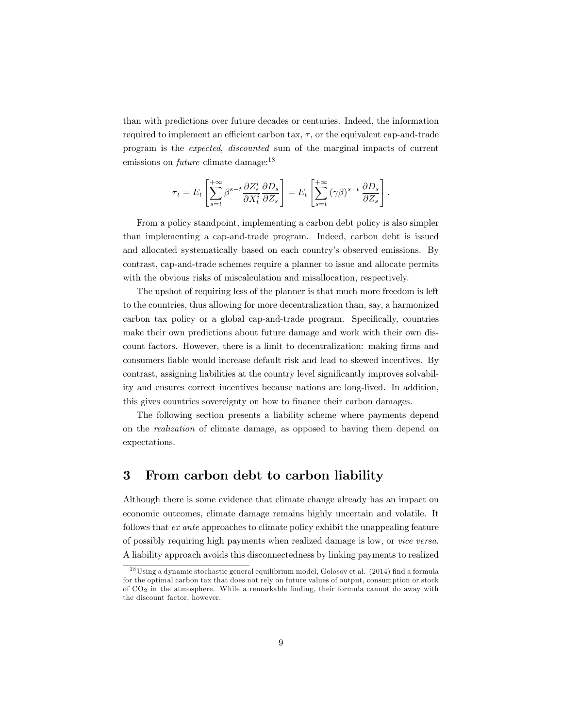than with predictions over future decades or centuries. Indeed, the information required to implement an efficient carbon tax,  $\tau$ , or the equivalent cap-and-trade program is the expected, discounted sum of the marginal impacts of current emissions on *future* climate damage:<sup>18</sup>

$$
\tau_t = E_t \left[ \sum_{s=t}^{+\infty} \beta^{s-t} \frac{\partial Z_s^i}{\partial X_t^i} \frac{\partial D_s}{\partial Z_s} \right] = E_t \left[ \sum_{s=t}^{+\infty} (\gamma \beta)^{s-t} \frac{\partial D_s}{\partial Z_s} \right].
$$

From a policy standpoint, implementing a carbon debt policy is also simpler than implementing a cap-and-trade program. Indeed, carbon debt is issued and allocated systematically based on each countryís observed emissions. By contrast, cap-and-trade schemes require a planner to issue and allocate permits with the obvious risks of miscalculation and misallocation, respectively.

The upshot of requiring less of the planner is that much more freedom is left to the countries, thus allowing for more decentralization than, say, a harmonized carbon tax policy or a global cap-and-trade program. Specifically, countries make their own predictions about future damage and work with their own discount factors. However, there is a limit to decentralization: making firms and consumers liable would increase default risk and lead to skewed incentives. By contrast, assigning liabilities at the country level significantly improves solvability and ensures correct incentives because nations are long-lived. In addition, this gives countries sovereignty on how to finance their carbon damages.

The following section presents a liability scheme where payments depend on the realization of climate damage, as opposed to having them depend on expectations.

## 3 From carbon debt to carbon liability

Although there is some evidence that climate change already has an impact on economic outcomes, climate damage remains highly uncertain and volatile. It follows that ex ante approaches to climate policy exhibit the unappealing feature of possibly requiring high payments when realized damage is low, or vice versa. A liability approach avoids this disconnectedness by linking payments to realized

 $18$ Using a dynamic stochastic general equilibrium model, Golosov et al. (2014) find a formula for the optimal carbon tax that does not rely on future values of output, consumption or stock of  $CO<sub>2</sub>$  in the atmosphere. While a remarkable finding, their formula cannot do away with the discount factor, however.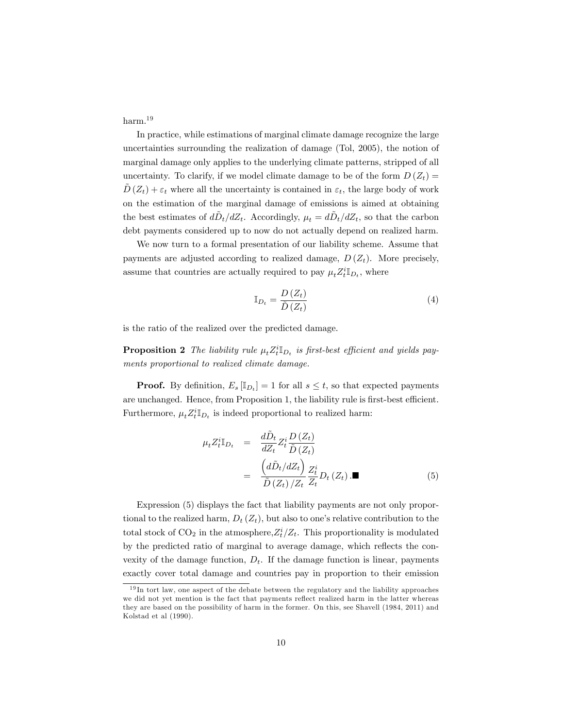harm.<sup>19</sup>

In practice, while estimations of marginal climate damage recognize the large uncertainties surrounding the realization of damage (Tol, 2005), the notion of marginal damage only applies to the underlying climate patterns, stripped of all uncertainty. To clarify, if we model climate damage to be of the form  $D(Z_t) =$  $D(Z_t) + \varepsilon_t$  where all the uncertainty is contained in  $\varepsilon_t$ , the large body of work on the estimation of the marginal damage of emissions is aimed at obtaining the best estimates of  $d\tilde{D}_t/dZ_t$ . Accordingly,  $\mu_t = d\tilde{D}_t/dZ_t$ , so that the carbon debt payments considered up to now do not actually depend on realized harm.

We now turn to a formal presentation of our liability scheme. Assume that payments are adjusted according to realized damage,  $D(Z_t)$ . More precisely, assume that countries are actually required to pay  $\mu_t Z_t^i \mathbb{I}_{D_t}$ , where

$$
\mathbb{I}_{D_t} = \frac{D(Z_t)}{\tilde{D}(Z_t)}\tag{4}
$$

is the ratio of the realized over the predicted damage.

**Proposition 2** The liability rule  $\mu_t Z_t^i \mathbb{I}_{D_t}$  is first-best efficient and yields payments proportional to realized climate damage.

**Proof.** By definition,  $E_s \left[ \mathbb{I}_{D_t} \right] = 1$  for all  $s \leq t$ , so that expected payments are unchanged. Hence, from Proposition 1, the liability rule is first-best efficient. Furthermore,  $\mu_t Z_t^i \mathbb{I}_{D_t}$  is indeed proportional to realized harm:

$$
\mu_t Z_t^i \mathbb{I}_{D_t} = \frac{d\tilde{D}_t}{dZ_t} Z_t^i \frac{D(Z_t)}{\tilde{D}(Z_t)}
$$
  

$$
= \frac{\left(d\tilde{D}_t/dZ_t\right)}{\tilde{D}(Z_t)/Z_t} \frac{Z_t^i}{Z_t} D_t(Z_t) . \blacksquare \tag{5}
$$

Expression (5) displays the fact that liability payments are not only proportional to the realized harm,  $D_t(Z_t)$ , but also to one's relative contribution to the total stock of  $CO_2$  in the atmosphere,  $Z_t^i/Z_t$ . This proportionality is modulated by the predicted ratio of marginal to average damage, which reflects the convexity of the damage function,  $D_t$ . If the damage function is linear, payments exactly cover total damage and countries pay in proportion to their emission

 $19\,\text{In}$  tort law, one aspect of the debate between the regulatory and the liability approaches we did not yet mention is the fact that payments reflect realized harm in the latter whereas they are based on the possibility of harm in the former. On this, see Shavell (1984, 2011) and Kolstad et al (1990).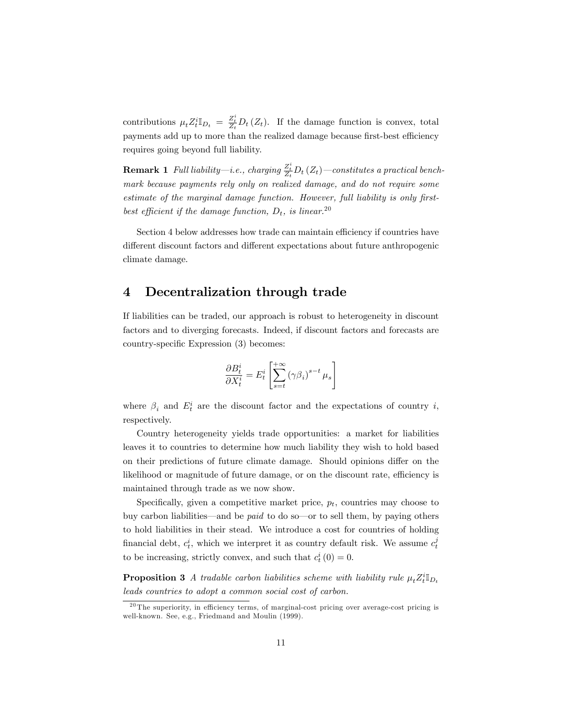contributions  $\mu_t Z_t^i \mathbb{I}_{D_t} = \frac{Z_t^i}{Z_t} D_t (Z_t)$ . If the damage function is convex, total payments add up to more than the realized damage because first-best efficiency requires going beyond full liability.

**Remark 1** Full liability—i.e., charging  $\frac{Z_t^i}{Z_t}D_t(Z_t)$ —constitutes a practical benchmark because payments rely only on realized damage, and do not require some estimate of the marginal damage function. However, full liability is only firstbest efficient if the damage function,  $D_t$ , is linear.<sup>20</sup>

Section 4 below addresses how trade can maintain efficiency if countries have different discount factors and different expectations about future anthropogenic climate damage.

## 4 Decentralization through trade

If liabilities can be traded, our approach is robust to heterogeneity in discount factors and to diverging forecasts. Indeed, if discount factors and forecasts are country-specific Expression (3) becomes:

$$
\frac{\partial B_t^i}{\partial X_t^i} = E_t^i \left[ \sum_{s=t}^{+\infty} (\gamma \beta_i)^{s-t} \mu_s \right]
$$

where  $\beta_i$  and  $E_t^i$  are the discount factor and the expectations of country i, respectively.

Country heterogeneity yields trade opportunities: a market for liabilities leaves it to countries to determine how much liability they wish to hold based on their predictions of future climate damage. Should opinions differ on the likelihood or magnitude of future damage, or on the discount rate, efficiency is maintained through trade as we now show.

Specifically, given a competitive market price,  $p_t$ , countries may choose to buy carbon liabilities—and be *paid* to do so—or to sell them, by paying others to hold liabilities in their stead. We introduce a cost for countries of holding financial debt,  $c_t^i$ , which we interpret it as country default risk. We assume  $c_t^j$ to be increasing, strictly convex, and such that  $c_t^i(0) = 0$ .

**Proposition 3** A tradable carbon liabilities scheme with liability rule  $\mu_t Z_t^i \mathbb{I}_{D_t}$ leads countries to adopt a common social cost of carbon.

 $20$  The superiority, in efficiency terms, of marginal-cost pricing over average-cost pricing is well-known. See, e.g., Friedmand and Moulin (1999).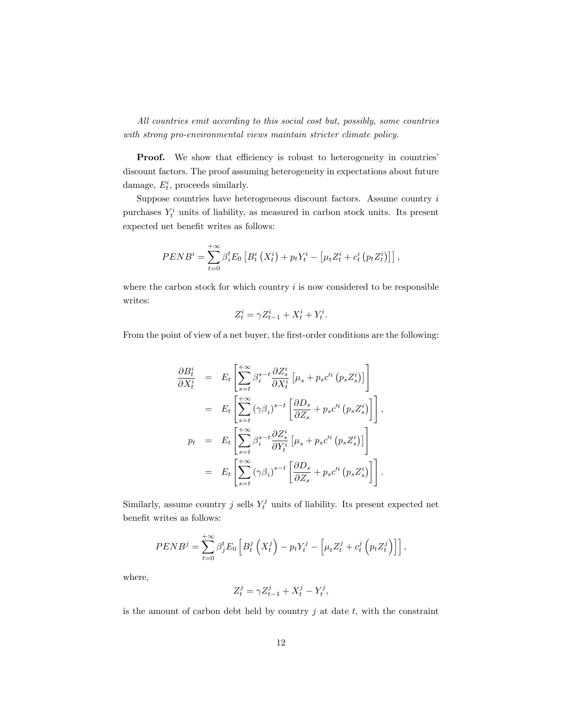All countries emit according to this social cost but, possibly, some countries with strong pro-environmental views maintain stricter climate policy.

**Proof.** We show that efficiency is robust to heterogeneity in countries discount factors. The proof assuming heterogeneity in expectations about future damage,  $E_t^i$ , proceeds similarly.

Suppose countries have heterogeneous discount factors. Assume country  $i$ purchases  $Y_t^i$  units of liability, as measured in carbon stock units. Its present expected net benefit writes as follows:

$$
PEND^{i} = \sum_{t=0}^{+\infty} \beta_{i}^{t} E_{0} \left[ B_{t}^{i} \left( X_{t}^{i} \right) + p_{t} Y_{t}^{i} - \left[ \mu_{t} Z_{t}^{i} + c_{t}^{i} \left( p_{t} Z_{t}^{i} \right) \right] \right],
$$

where the carbon stock for which country  $i$  is now considered to be responsible writes:

$$
Z_t^i = \gamma Z_{t-1}^i + X_t^i + Y_t^i.
$$

From the point of view of a net buyer, the first-order conditions are the following:

$$
\frac{\partial B_t^i}{\partial X_t^i} = E_t \left[ \sum_{s=t}^{+\infty} \beta_i^{s-t} \frac{\partial Z_s^i}{\partial X_t^i} \left[ \mu_s + p_s c'^i \left( p_s Z_s^i \right) \right] \right]
$$
\n
$$
= E_t \left[ \sum_{s=t}^{+\infty} (\gamma \beta_i)^{s-t} \left[ \frac{\partial D_s}{\partial Z_s} + p_s c'^i \left( p_s Z_s^i \right) \right] \right],
$$
\n
$$
p_t = E_t \left[ \sum_{s=t}^{+\infty} \beta_i^{s-t} \frac{\partial Z_s^i}{\partial Y_t^i} \left[ \mu_s + p_s c'^i \left( p_s Z_s^i \right) \right] \right]
$$
\n
$$
= E_t \left[ \sum_{s=t}^{+\infty} (\gamma \beta_i)^{s-t} \left[ \frac{\partial D_s}{\partial Z_s} + p_s c'^i \left( p_s Z_s^i \right) \right] \right].
$$

Similarly, assume country  $j$  sells  $Y_t^j$  units of liability. Its present expected net benefit writes as follows:

$$
PENDj = \sum_{t=0}^{+\infty} \beta_j^t E_0 \left[ B_t^j \left( X_t^j \right) - p_t Y_t^j - \left[ \mu_t Z_t^j + c_t^j \left( p_t Z_t^j \right) \right] \right],
$$

where,

$$
Z_t^j = \gamma Z_{t-1}^j + X_t^j - Y_t^j
$$

,

is the amount of carbon debt held by country  $j$  at date  $t$ , with the constraint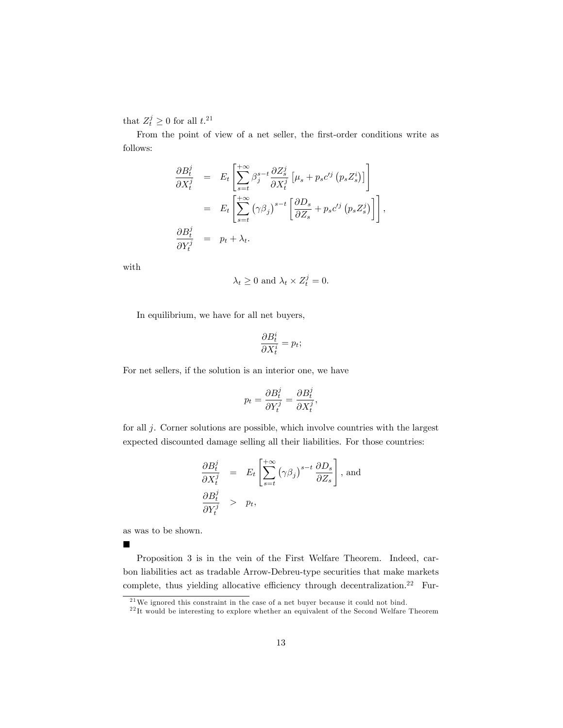that  $Z_t^j \geq 0$  for all  $t$ .<sup>21</sup>

From the point of view of a net seller, the first-order conditions write as follows:

$$
\frac{\partial B_t^j}{\partial X_t^j} = E_t \left[ \sum_{s=t}^{+\infty} \beta_j^{s-t} \frac{\partial Z_s^j}{\partial X_t^j} \left[ \mu_s + p_s c'^j \left( p_s Z_s^i \right) \right] \right]
$$
  

$$
= E_t \left[ \sum_{s=t}^{+\infty} \left( \gamma \beta_j \right)^{s-t} \left[ \frac{\partial D_s}{\partial Z_s} + p_s c'^j \left( p_s Z_s^j \right) \right] \right],
$$
  

$$
\frac{\partial B_t^j}{\partial Y_t^j} = p_t + \lambda_t.
$$

with

$$
\lambda_t \geq 0
$$
 and  $\lambda_t \times Z_t^j = 0$ .

In equilibrium, we have for all net buyers,

$$
\frac{\partial B_t^i}{\partial X_t^i} = p_t;
$$

For net sellers, if the solution is an interior one, we have

$$
p_t = \frac{\partial B_t^j}{\partial Y_t^j} = \frac{\partial B_t^j}{\partial X_t^j},
$$

for all j. Corner solutions are possible, which involve countries with the largest expected discounted damage selling all their liabilities. For those countries:

$$
\frac{\partial B_t^j}{\partial X_t^j} = E_t \left[ \sum_{s=t}^{+\infty} (\gamma \beta_j)^{s-t} \frac{\partial D_s}{\partial Z_s} \right], \text{ and}
$$
  

$$
\frac{\partial B_t^j}{\partial Y_t^j} > p_t,
$$

as was to be shown.

 $\blacksquare$ 

Proposition 3 is in the vein of the First Welfare Theorem. Indeed, carbon liabilities act as tradable Arrow-Debreu-type securities that make markets complete, thus yielding allocative efficiency through decentralization.<sup>22</sup> Fur-

 $^{21}$ We ignored this constraint in the case of a net buyer because it could not bind.

 $22$ <sup>12</sup> It would be interesting to explore whether an equivalent of the Second Welfare Theorem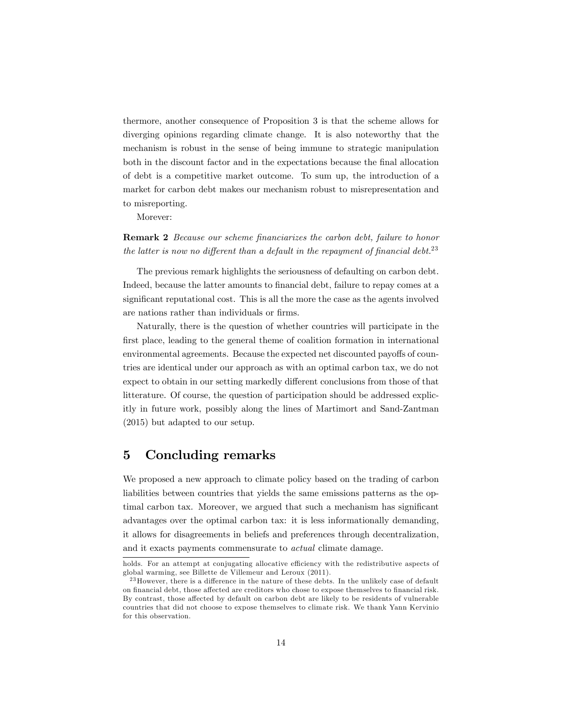thermore, another consequence of Proposition 3 is that the scheme allows for diverging opinions regarding climate change. It is also noteworthy that the mechanism is robust in the sense of being immune to strategic manipulation both in the discount factor and in the expectations because the final allocation of debt is a competitive market outcome. To sum up, the introduction of a market for carbon debt makes our mechanism robust to misrepresentation and to misreporting.

Morever:

**Remark 2** Because our scheme financiarizes the carbon debt, failure to honor the latter is now no different than a default in the repayment of financial debt.<sup>23</sup>

The previous remark highlights the seriousness of defaulting on carbon debt. Indeed, because the latter amounts to financial debt, failure to repay comes at a significant reputational cost. This is all the more the case as the agents involved are nations rather than individuals or firms.

Naturally, there is the question of whether countries will participate in the first place, leading to the general theme of coalition formation in international environmental agreements. Because the expected net discounted payoffs of countries are identical under our approach as with an optimal carbon tax, we do not expect to obtain in our setting markedly different conclusions from those of that litterature. Of course, the question of participation should be addressed explicitly in future work, possibly along the lines of Martimort and Sand-Zantman (2015) but adapted to our setup.

#### 5 Concluding remarks

We proposed a new approach to climate policy based on the trading of carbon liabilities between countries that yields the same emissions patterns as the optimal carbon tax. Moreover, we argued that such a mechanism has significant advantages over the optimal carbon tax: it is less informationally demanding, it allows for disagreements in beliefs and preferences through decentralization, and it exacts payments commensurate to actual climate damage.

holds. For an attempt at conjugating allocative efficiency with the redistributive aspects of global warming, see Billette de Villemeur and Leroux (2011).

 $23$  However, there is a difference in the nature of these debts. In the unlikely case of default on financial debt, those affected are creditors who chose to expose themselves to financial risk. By contrast, those affected by default on carbon debt are likely to be residents of vulnerable countries that did not choose to expose themselves to climate risk. We thank Yann Kervinio for this observation.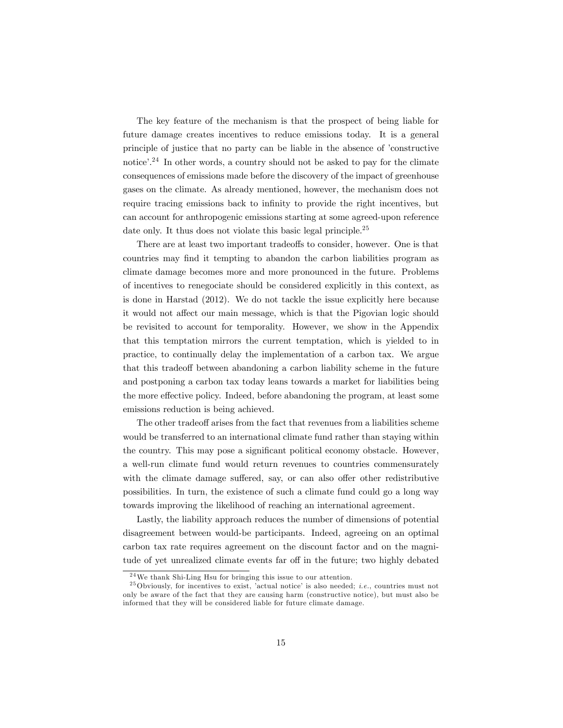The key feature of the mechanism is that the prospect of being liable for future damage creates incentives to reduce emissions today. It is a general principle of justice that no party can be liable in the absence of 'constructive notice<sup> $24$ </sup>. In other words, a country should not be asked to pay for the climate consequences of emissions made before the discovery of the impact of greenhouse gases on the climate. As already mentioned, however, the mechanism does not require tracing emissions back to infinity to provide the right incentives, but can account for anthropogenic emissions starting at some agreed-upon reference date only. It thus does not violate this basic legal principle.<sup>25</sup>

There are at least two important tradeoffs to consider, however. One is that countries may find it tempting to abandon the carbon liabilities program as climate damage becomes more and more pronounced in the future. Problems of incentives to renegociate should be considered explicitly in this context, as is done in Harstad (2012). We do not tackle the issue explicitly here because it would not affect our main message, which is that the Pigovian logic should be revisited to account for temporality. However, we show in the Appendix that this temptation mirrors the current temptation, which is yielded to in practice, to continually delay the implementation of a carbon tax. We argue that this tradeoff between abandoning a carbon liability scheme in the future and postponing a carbon tax today leans towards a market for liabilities being the more effective policy. Indeed, before abandoning the program, at least some emissions reduction is being achieved.

The other tradeoff arises from the fact that revenues from a liabilities scheme would be transferred to an international climate fund rather than staying within the country. This may pose a significant political economy obstacle. However, a well-run climate fund would return revenues to countries commensurately with the climate damage suffered, say, or can also offer other redistributive possibilities. In turn, the existence of such a climate fund could go a long way towards improving the likelihood of reaching an international agreement.

Lastly, the liability approach reduces the number of dimensions of potential disagreement between would-be participants. Indeed, agreeing on an optimal carbon tax rate requires agreement on the discount factor and on the magnitude of yet unrealized climate events far off in the future; two highly debated

 $^{24}\mathrm{We}$  thank Shi-Ling Hsu for bringing this issue to our attention.

<sup>&</sup>lt;sup>25</sup> Obviously, for incentives to exist, 'actual notice' is also needed; *i.e.*, countries must not only be aware of the fact that they are causing harm (constructive notice), but must also be informed that they will be considered liable for future climate damage.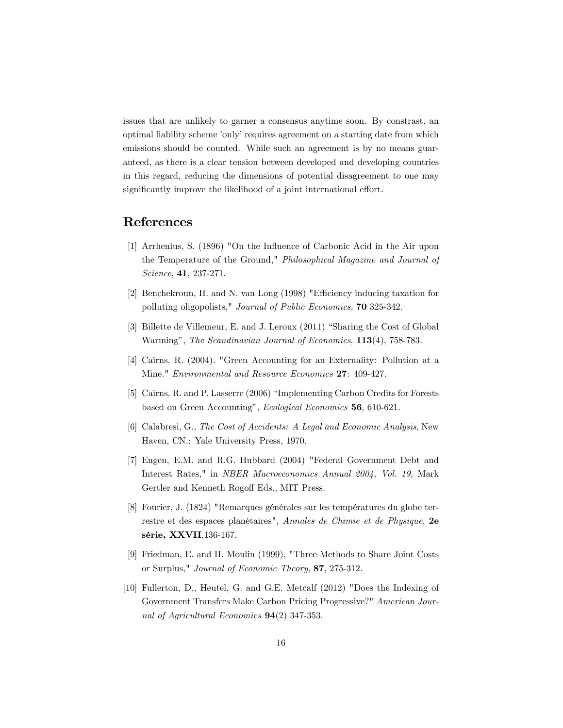issues that are unlikely to garner a consensus anytime soon. By constrast, an optimal liability scheme 'only' requires agreement on a starting date from which emissions should be counted. While such an agreement is by no means guaranteed, as there is a clear tension between developed and developing countries in this regard, reducing the dimensions of potential disagreement to one may significantly improve the likelihood of a joint international effort.

## References

- [1] Arrhenius, S. (1896) "On the Influence of Carbonic Acid in the Air upon the Temperature of the Ground," Philosophical Magazine and Journal of Science, 41, 237-271.
- [2] Benchekroun, H. and N. van Long (1998) "Efficiency inducing taxation for polluting oligopolists," Journal of Public Economics, 70 325-342.
- [3] Billette de Villemeur, E. and J. Leroux  $(2011)$  "Sharing the Cost of Global" Warming", The Scandinavian Journal of Economics, 113(4), 758-783.
- [4] Cairns, R. (2004). "Green Accounting for an Externality: Pollution at a Mine." Environmental and Resource Economics 27: 409-427.
- [5] Cairns, R. and P. Lasserre (2006) "Implementing Carbon Credits for Forests based on Green Accounting", Ecological Economics 56, 610-621.
- [6] Calabresi, G., The Cost of Accidents: A Legal and Economic Analysis, New Haven, CN.: Yale University Press, 1970.
- [7] Engen, E.M. and R.G. Hubbard (2004) "Federal Government Debt and Interest Rates," in NBER Macroeconomics Annual 2004, Vol. 19, Mark Gertler and Kenneth Rogoff Eds., MIT Press.
- [8] Fourier, J. (1824) "Remarques générales sur les températures du globe terrestre et des espaces planétaires", Annales de Chimie et de Physique, 2e série, XXVII,136-167.
- [9] Friedman, E. and H. Moulin (1999), "Three Methods to Share Joint Costs or Surplus," Journal of Economic Theory, 87, 275-312.
- [10] Fullerton, D., Heutel, G. and G.E. Metcalf (2012) "Does the Indexing of Government Transfers Make Carbon Pricing Progressive?" American Journal of Agricultural Economics 94(2) 347-353.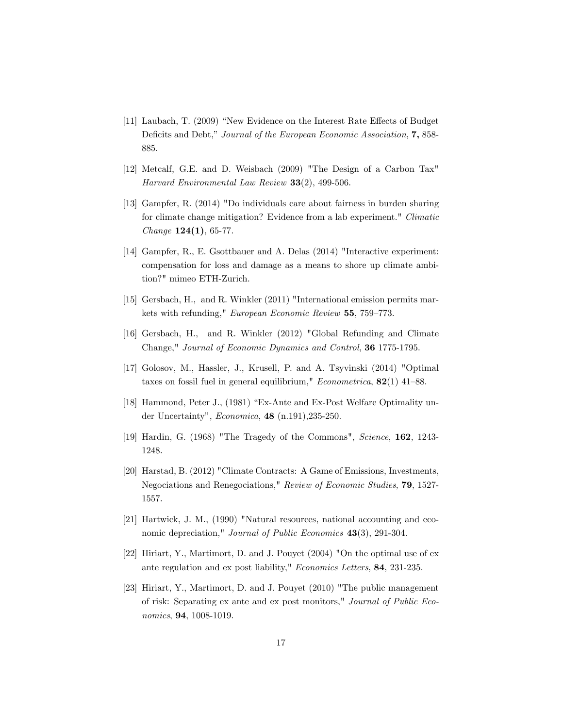- [11] Laubach, T. (2009) "New Evidence on the Interest Rate Effects of Budget Deficits and Debt," Journal of the European Economic Association, 7, 858-885.
- [12] Metcalf, G.E. and D. Weisbach (2009) "The Design of a Carbon Tax" Harvard Environmental Law Review 33(2), 499-506.
- [13] Gampfer, R. (2014) "Do individuals care about fairness in burden sharing for climate change mitigation? Evidence from a lab experiment." Climatic  $Change 124(1), 65-77.$
- [14] Gampfer, R., E. Gsottbauer and A. Delas (2014) "Interactive experiment: compensation for loss and damage as a means to shore up climate ambition?" mimeo ETH-Zurich.
- [15] Gersbach, H., and R. Winkler (2011) "International emission permits markets with refunding," European Economic Review 55, 759-773.
- [16] Gersbach, H., and R. Winkler (2012) "Global Refunding and Climate Change," Journal of Economic Dynamics and Control, 36 1775-1795.
- [17] Golosov, M., Hassler, J., Krusell, P. and A. Tsyvinski (2014) "Optimal taxes on fossil fuel in general equilibrium,"  $Econometrica$ , 82(1) 41–88.
- [18] Hammond, Peter J., (1981) "Ex-Ante and Ex-Post Welfare Optimality under Uncertainty",  $Economica$ , **48** (n.191), 235-250.
- [19] Hardin, G. (1968) "The Tragedy of the Commons", Science, 162, 1243- 1248.
- [20] Harstad, B. (2012) "Climate Contracts: A Game of Emissions, Investments, Negociations and Renegociations," Review of Economic Studies, 79, 1527- 1557.
- [21] Hartwick, J. M., (1990) "Natural resources, national accounting and economic depreciation," *Journal of Public Economics* 43(3), 291-304.
- [22] Hiriart, Y., Martimort, D. and J. Pouyet (2004) "On the optimal use of ex ante regulation and ex post liability," Economics Letters, 84, 231-235.
- [23] Hiriart, Y., Martimort, D. and J. Pouyet (2010) "The public management of risk: Separating ex ante and ex post monitors," Journal of Public Economics, 94, 1008-1019.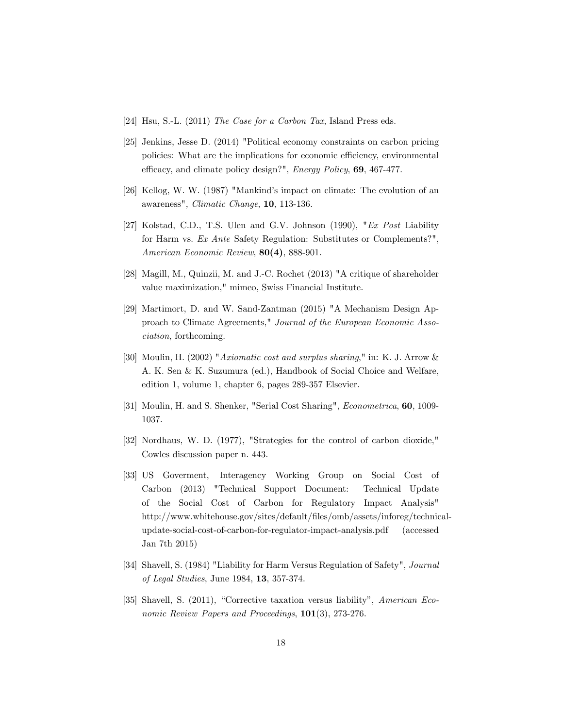- [24] Hsu, S.-L. (2011) The Case for a Carbon Tax, Island Press eds.
- [25] Jenkins, Jesse D. (2014) "Political economy constraints on carbon pricing policies: What are the implications for economic efficiency, environmental efficacy, and climate policy design?", Energy Policy, 69, 467-477.
- [26] Kellog, W. W. (1987) "Mankind's impact on climate: The evolution of an awareness", Climatic Change, 10, 113-136.
- [27] Kolstad, C.D., T.S. Ulen and G.V. Johnson (1990), "Ex Post Liability for Harm vs. Ex Ante Safety Regulation: Substitutes or Complements?", American Economic Review, 80(4), 888-901.
- [28] Magill, M., Quinzii, M. and J.-C. Rochet (2013) "A critique of shareholder value maximization," mimeo, Swiss Financial Institute.
- [29] Martimort, D. and W. Sand-Zantman (2015) "A Mechanism Design Approach to Climate Agreements," Journal of the European Economic Association, forthcoming.
- [30] Moulin, H. (2002) "Axiomatic cost and surplus sharing," in: K. J. Arrow & A. K. Sen & K. Suzumura (ed.), Handbook of Social Choice and Welfare, edition 1, volume 1, chapter 6, pages 289-357 Elsevier.
- [31] Moulin, H. and S. Shenker, "Serial Cost Sharing", Econometrica, 60, 1009- 1037.
- [32] Nordhaus, W. D. (1977), "Strategies for the control of carbon dioxide," Cowles discussion paper n. 443.
- [33] US Goverment, Interagency Working Group on Social Cost of Carbon (2013) "Technical Support Document: Technical Update of the Social Cost of Carbon for Regulatory Impact Analysis" http://www.whitehouse.gov/sites/default/Öles/omb/assets/inforeg/technicalupdate-social-cost-of-carbon-for-regulator-impact-analysis.pdf (accessed Jan 7th 2015)
- [34] Shavell, S. (1984) "Liability for Harm Versus Regulation of Safety", Journal of Legal Studies, June 1984, 13, 357-374.
- [35] Shavell, S.  $(2011)$ , "Corrective taxation versus liability", American Economic Review Papers and Proceedings, 101(3), 273-276.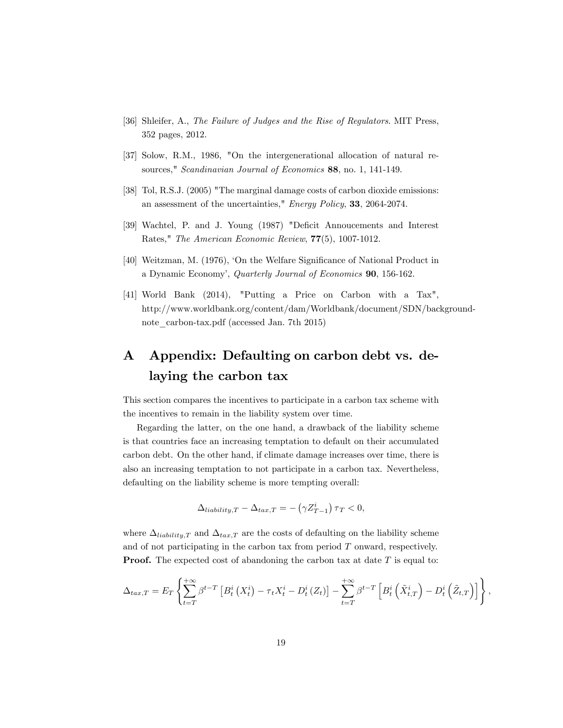- [36] Shleifer, A., The Failure of Judges and the Rise of Regulators. MIT Press, 352 pages, 2012.
- [37] Solow, R.M., 1986, "On the intergenerational allocation of natural resources," Scandinavian Journal of Economics 88, no. 1, 141-149.
- [38] Tol, R.S.J. (2005) "The marginal damage costs of carbon dioxide emissions: an assessment of the uncertainties," Energy Policy, 33, 2064-2074.
- [39] Wachtel, P. and J. Young (1987) "Deficit Annoucements and Interest Rates," The American Economic Review, 77(5), 1007-1012.
- [40] Weitzman, M. (1976), 'On the Welfare Significance of National Product in a Dynamic Economyí, Quarterly Journal of Economics 90, 156-162.
- [41] World Bank (2014), "Putting a Price on Carbon with a Tax", http://www.worldbank.org/content/dam/Worldbank/document/SDN/backgroundnote\_carbon-tax.pdf (accessed Jan. 7th 2015)

## A Appendix: Defaulting on carbon debt vs. delaying the carbon tax

This section compares the incentives to participate in a carbon tax scheme with the incentives to remain in the liability system over time.

Regarding the latter, on the one hand, a drawback of the liability scheme is that countries face an increasing temptation to default on their accumulated carbon debt. On the other hand, if climate damage increases over time, there is also an increasing temptation to not participate in a carbon tax. Nevertheless, defaulting on the liability scheme is more tempting overall:

$$
\Delta_{liability,T} - \Delta_{tax,T} = -\left(\gamma Z_{T-1}^{i}\right)\tau_T < 0,
$$

where  $\Delta_{liability,T}$  and  $\Delta_{tax,T}$  are the costs of defaulting on the liability scheme and of not participating in the carbon tax from period  $T$  onward, respectively. **Proof.** The expected cost of abandoning the carbon tax at date  $T$  is equal to:

$$
\Delta_{tax,T} = E_T \left\{ \sum_{t=T}^{+\infty} \beta^{t-T} \left[ B_t^i \left( X_t^i \right) - \tau_t X_t^i - D_t^i \left( Z_t \right) \right] - \sum_{t=T}^{+\infty} \beta^{t-T} \left[ B_t^i \left( \tilde{X}_{t,T}^i \right) - D_t^i \left( \tilde{Z}_{t,T} \right) \right] \right\},
$$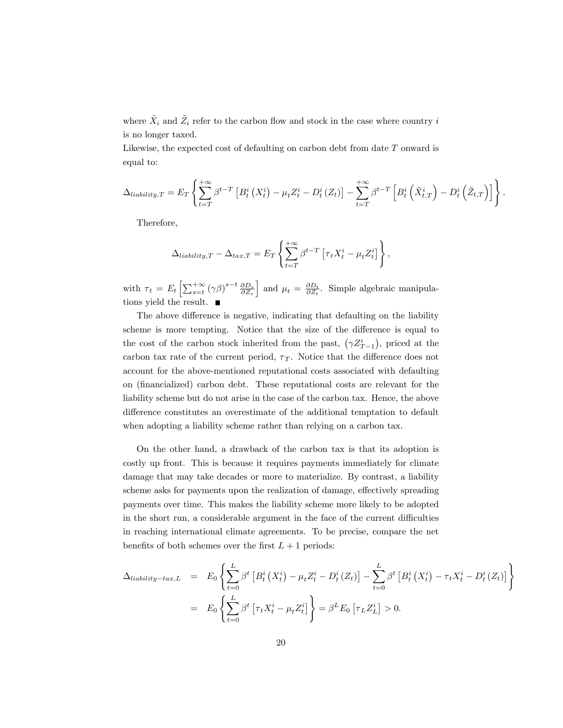where  $\tilde{X}_i$  and  $\tilde{Z}_i$  refer to the carbon flow and stock in the case where country i is no longer taxed.

Likewise, the expected cost of defaulting on carbon debt from date T onward is equal to:

$$
\Delta_{liability,T} = E_T \left\{ \sum_{t=T}^{+\infty} \beta^{t-T} \left[ B_t^i \left( X_t^i \right) - \mu_t Z_t^i - D_t^i \left( Z_t \right) \right] - \sum_{t=T}^{+\infty} \beta^{t-T} \left[ B_t^i \left( \tilde{X}_{t,T}^i \right) - D_t^i \left( \tilde{Z}_{t,T} \right) \right] \right\}.
$$

Therefore,

$$
\Delta_{liability,T} - \Delta_{tax,T} = E_T \left\{ \sum_{t=T}^{+\infty} \beta^{t-T} \left[ \tau_t X_t^i - \mu_t Z_t^i \right] \right\},\,
$$

with  $\tau_t = E_t \left[ \sum_{s=t}^{+\infty} (\gamma \beta)^{s-t} \frac{\partial D_s}{\partial Z_s} \right]$ and  $\mu_t = \frac{\partial D_t}{\partial Z_t}$ . Simple algebraic manipulations yield the result.

The above difference is negative, indicating that defaulting on the liability scheme is more tempting. Notice that the size of the difference is equal to the cost of the carbon stock inherited from the past,  $(\gamma Z_{T-1}^i)$ , priced at the carbon tax rate of the current period,  $\tau_T$ . Notice that the difference does not account for the above-mentioned reputational costs associated with defaulting on (Önancialized) carbon debt. These reputational costs are relevant for the liability scheme but do not arise in the case of the carbon tax. Hence, the above difference constitutes an overestimate of the additional temptation to default when adopting a liability scheme rather than relying on a carbon tax.

On the other hand, a drawback of the carbon tax is that its adoption is costly up front. This is because it requires payments immediately for climate damage that may take decades or more to materialize. By contrast, a liability scheme asks for payments upon the realization of damage, effectively spreading payments over time. This makes the liability scheme more likely to be adopted in the short run, a considerable argument in the face of the current difficulties in reaching international climate agreements. To be precise, compare the net benefits of both schemes over the first  $L + 1$  periods:

$$
\Delta_{liability-tax,L} = E_0 \left\{ \sum_{t=0}^{L} \beta^t \left[ B_t^i \left( X_t^i \right) - \mu_t Z_t^i - D_t^i \left( Z_t \right) \right] - \sum_{t=0}^{L} \beta^t \left[ B_t^i \left( X_t^i \right) - \tau_t X_t^i - D_t^i \left( Z_t \right) \right] \right\}
$$
  

$$
= E_0 \left\{ \sum_{t=0}^{L} \beta^t \left[ \tau_t X_t^i - \mu_t Z_t^i \right] \right\} = \beta^L E_0 \left[ \tau_L Z_L^i \right] > 0.
$$